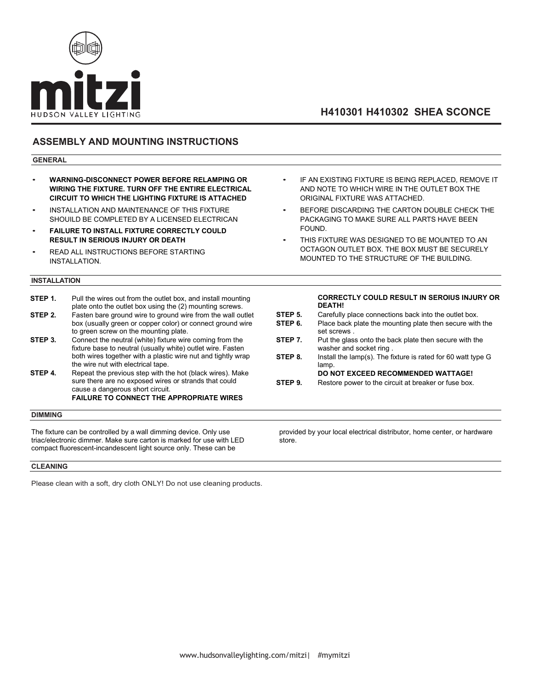

# **H410301 H410302 SHEA SCONCE**

## **ASSEMBLY AND MOUNTING INSTRUCTIONS**

#### **GENERAL**

- **WARNING-DISCONNECT POWER BEFORE RELAMPING OR WIRING THE FIXTURE. TURN OFF THE ENTIRE ELECTRICAL CIRCUIT TO WHICH THE LIGHTING FIXTURE IS ATTACHED**
- INSTALLATION AND MAINTENANCE OF THIS FIXTURE SHOUILD BE COMPLETED BY A LICENSED ELECTRICAN
- **FAILURE TO INSTALL FIXTURE CORRECTLY COULD RESULT IN SERIOUS INJURY OR DEATH**
- READ ALL INSTRUCTIONS BEFORE STARTING INSTALLATION.

#### **INSTALLATION**

- **STEP 1.** Pull the wires out from the outlet box, and install mounting plate onto the outlet box using the (2) mounting screws. **STEP 2.** Fasten bare ground wire to ground wire from the wall outlet box (usually green or copper color) or connect ground wire
- to green screw on the mounting plate. **STEP 3.** Connect the neutral (white) fixture wire coming from the fixture base to neutral (usually white) outlet wire. Fasten both wires together with a plastic wire nut and tightly wrap the wire nut with electrical tape.
- **STEP 4.** Repeat the previous step with the hot (black wires). Make sure there are no exposed wires or strands that could cause a dangerous short circuit. **FAILURE TO CONNECT THE APPROPRIATE WIRES**

#### **DIMMING**

The fixture can be controlled by a wall dimming device. Only use triac/electronic dimmer. Make sure carton is marked for use with LED compact fluorescent-incandescent light source only. These can be

#### **CLEANING**

Please clean with a soft, dry cloth ONLY! Do not use cleaning products.

- IF AN EXISTING FIXTURE IS BEING REPLACED. REMOVE IT AND NOTE TO WHICH WIRE IN THE OUTLET BOX THE ORIGINAL FIXTURE WAS ATTACHED.
- BEFORE DISCARDING THE CARTON DOUBLE CHECK THE PACKAGING TO MAKE SURE ALL PARTS HAVE BEEN FOUND.
- THIS FIXTURE WAS DESIGNED TO BE MOUNTED TO AN OCTAGON OUTLET BOX. THE BOX MUST BE SECURELY MOUNTED TO THE STRUCTURE OF THE BUILDING.

#### **CORRECTLY COULD RESULT IN SEROIUS INJURY OR DEATH!**

- **STEP 5.** Carefully place connections back into the outlet box.
- **STEP 6.** Place back plate the mounting plate then secure with the set screws .
- **STEP 7.** Put the glass onto the back plate then secure with the washer and socket ring .
- **STEP 8.** Install the lamp(s). The fixture is rated for 60 watt type G lamp.
- **DO NOT EXCEED RECOMMENDED WATTAGE! STEP 9.** Restore power to the circuit at breaker or fuse box.
- 

provided by your local electrical distributor, home center, or hardware store.